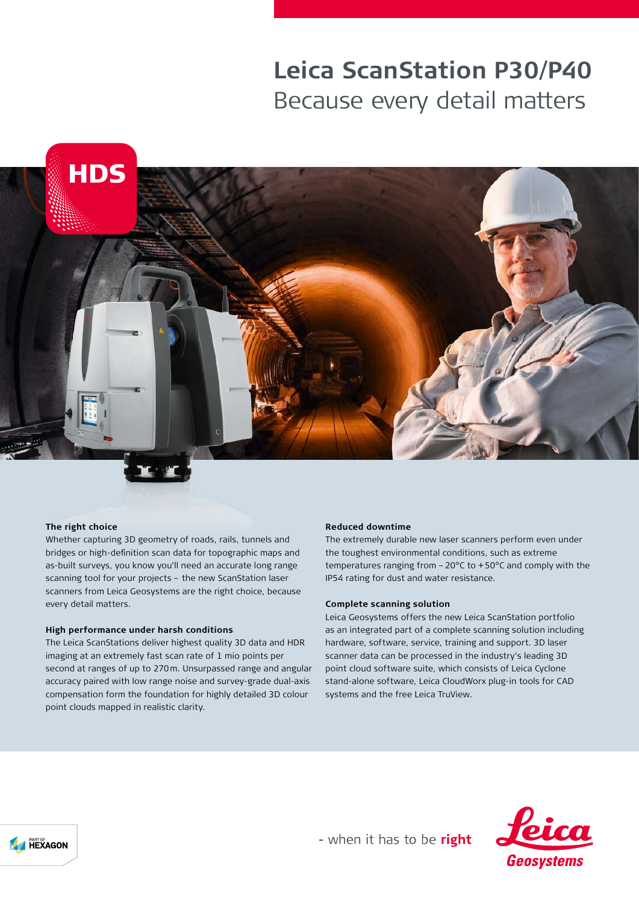# **Leica ScanStation P30/P40** Because every detail matters





#### **The right choice**

Whether capturing 3D geometry of roads, rails, tunnels and bridges or high-definition scan data for topographic maps and as-built surveys, you know you'll need an accurate long range scanning tool for your projects – the new ScanStation laser scanners from Leica Geosystems are the right choice, because every detail matters.

#### **High performance under harsh conditions**

The Leica ScanStations deliver highest quality 3D data and HDR imaging at an extremely fast scan rate of 1 mio points per second at ranges of up to 270m. Unsurpassed range and angular accuracy paired with low range noise and survey-grade dual-axis compensation form the foundation for highly detailed 3D colour point clouds mapped in realistic clarity.

#### **Reduced downtime**

The extremely durable new laser scanners perform even under the toughest environmental conditions, such as extreme temperatures ranging from –20°C to +50°C and comply with the IP54 rating for dust and water resistance.

#### **Complete scanning solution**

Leica Geosystems offers the new Leica ScanStation portfolio as an integrated part of a complete scanning solution including hardware, software, service, training and support. 3D laser scanner data can be processed in the industry's leading 3D point cloud software suite, which consists of Leica Cyclone stand-alone software, Leica CloudWorx plug-in tools for CAD systems and the free Leica TruView.



- when it has to be right